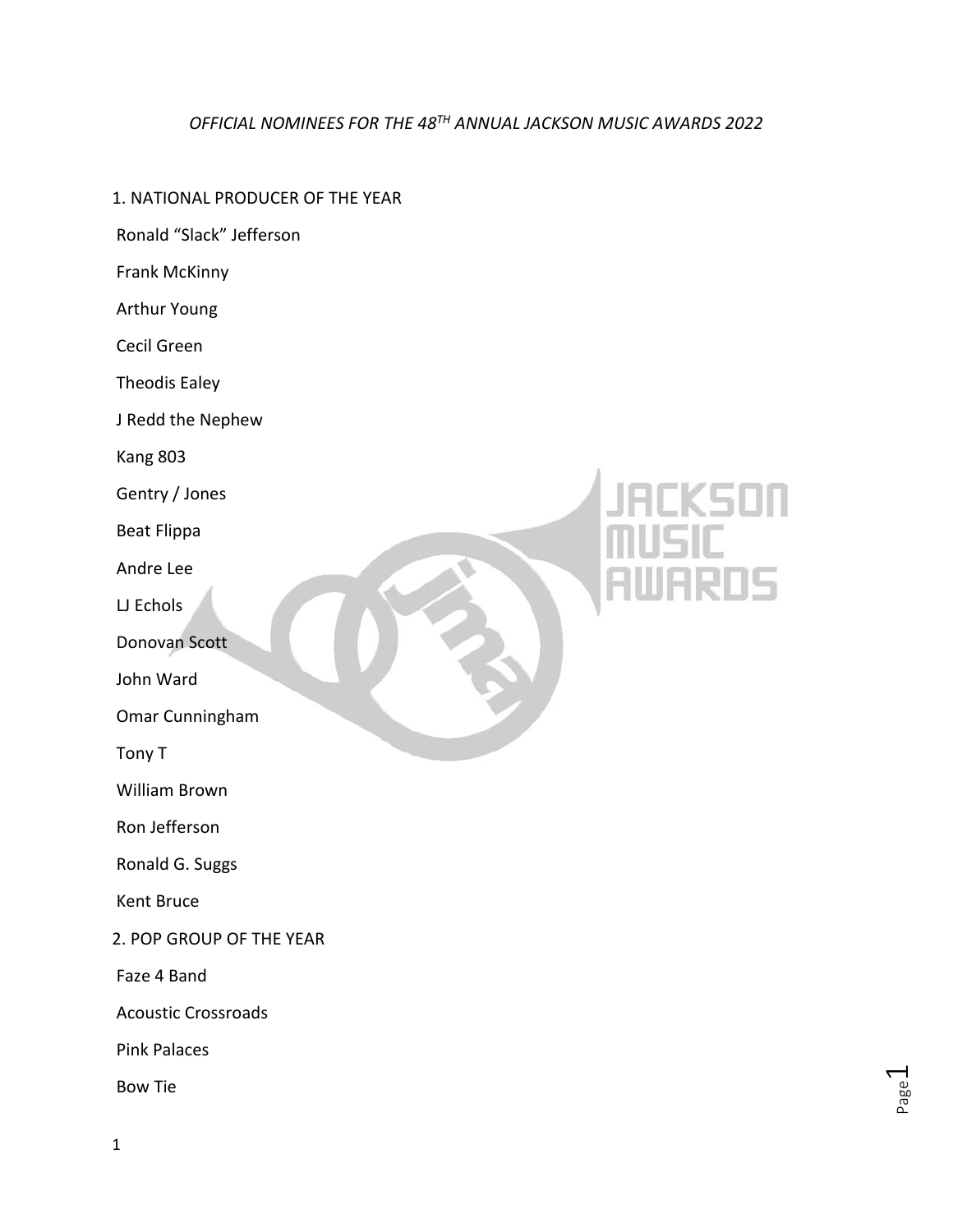### *OFFICIAL NOMINEES FOR THE 48 TH ANNUAL JACKSON MUSIC AWARDS 2022*

### 1. NATIONAL PRODUCER OF THE YEAR

- Ronald "Slack" Jefferson
- Frank McKinny
- Arthur Young
- Cecil Green
- Theodis Ealey
- J Redd the Nephew
- Kang 803
- Gentry / Jones
- Beat Flippa
- Andre Lee
- LJ Echols
- Donovan Scott
- John Ward
- Omar Cunningham
- Tony T
- William Brown
- Ron Jefferson
- Ronald G. Suggs
- Kent Bruce
- 2. POP GROUP OF THE YEAR
- Faze 4 Band
- Acoustic Crossroads
- Pink Palaces
- Bow Tie

# 15

Page  $\overline{\phantom{0}}$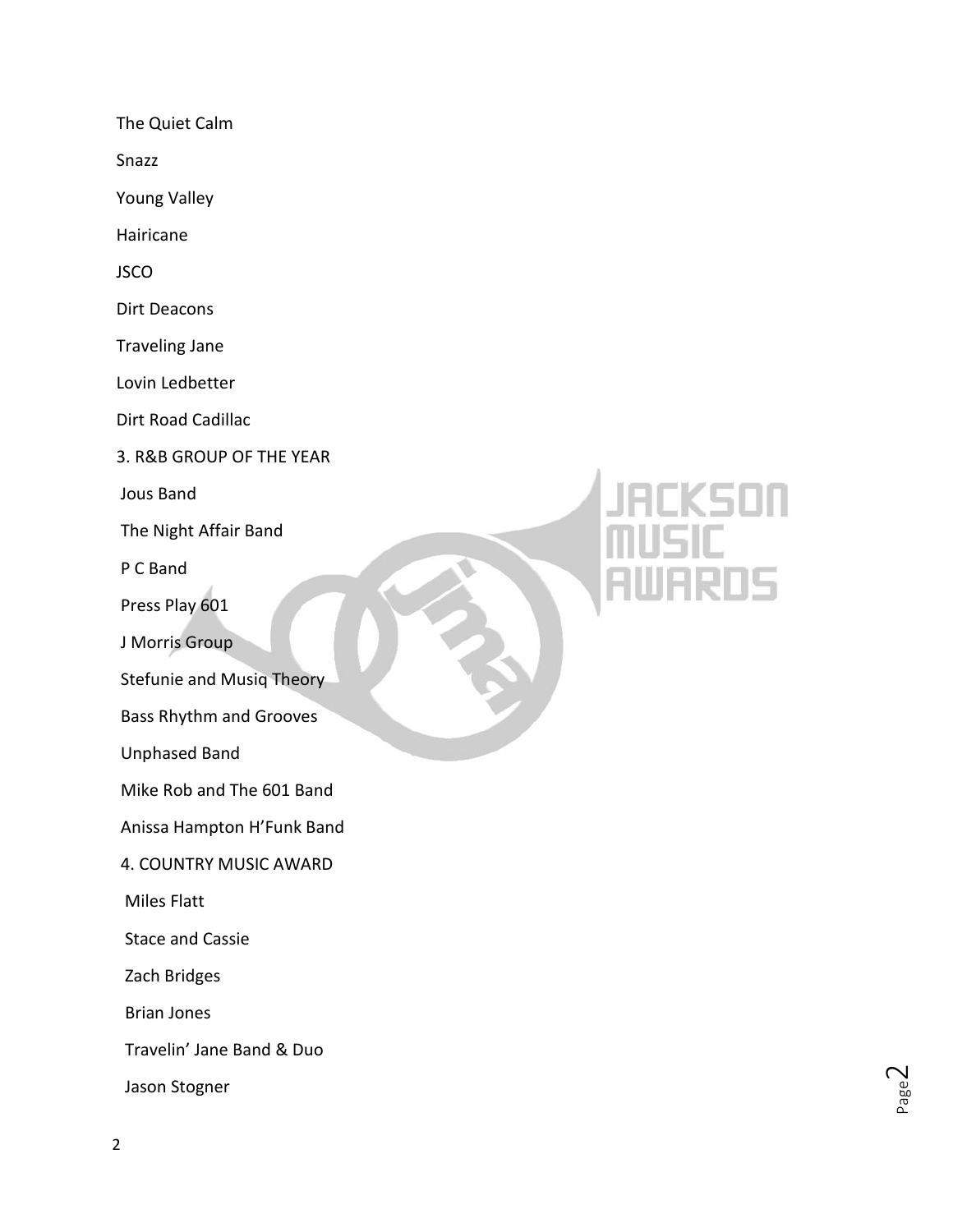The Quiet Calm

Snazz

Young Valley

Hairicane

JSCO

Dirt Deacons

Traveling Jane

Lovin Ledbetter

Dirt Road Cadillac

3. R&B GROUP OF THE YEAR

Jous Band

The Night Affair Band

P C Band

Press Play 601

J Morris Group

Stefunie and Musiq Theory

Bass Rhythm and Grooves

Unphased Band

Mike Rob and The 601 Band

Anissa Hampton H'Funk Band

4. COUNTRY MUSIC AWARD

Miles Flatt

Stace and Cassie

Zach Bridges

Brian Jones

Travelin' Jane Band & Duo

Jason Stogner

# **KSON 105**

Page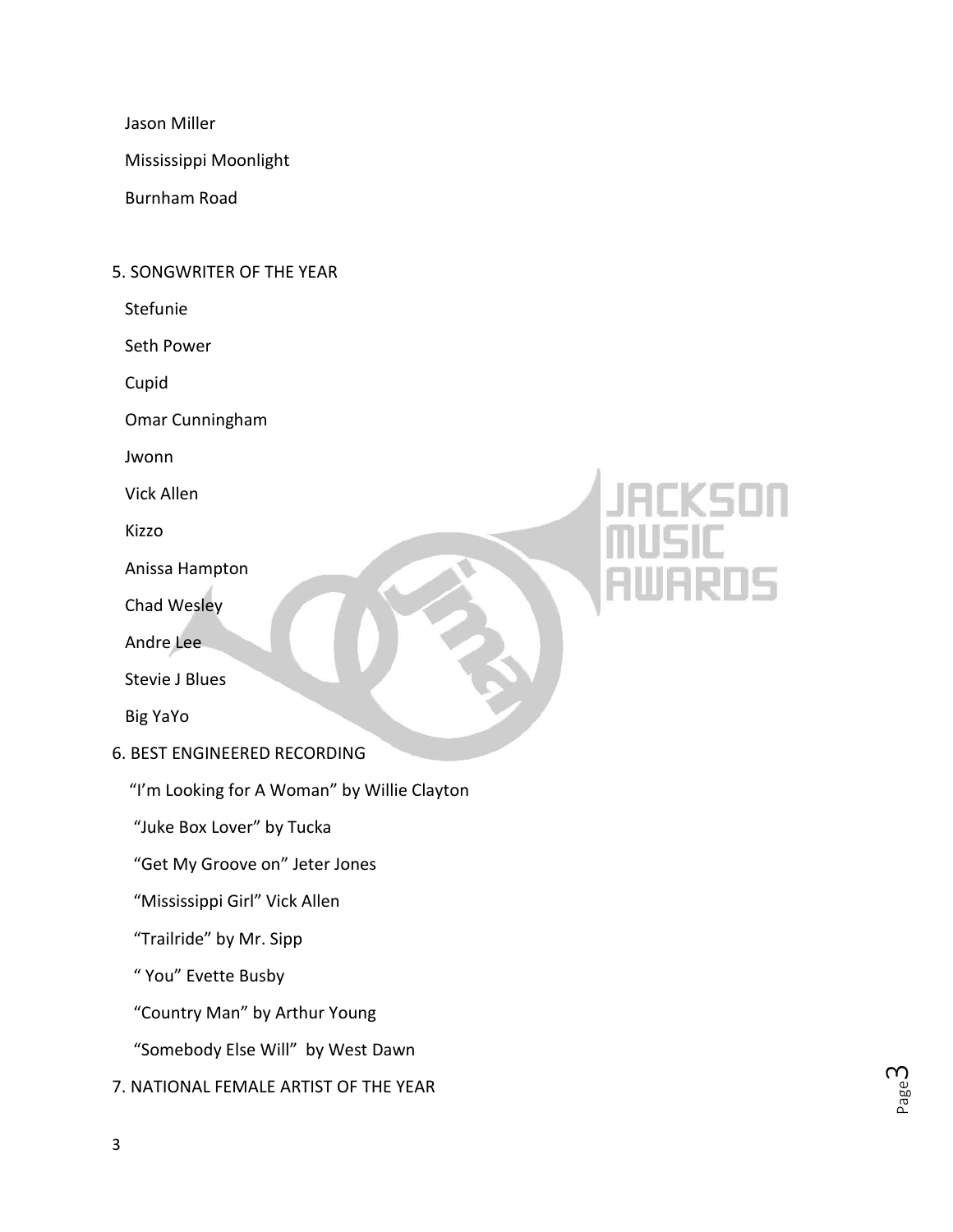Jason Miller

Mississippi Moonlight

Burnham Road

### 5. SONGWRITER OF THE YEAR

Stefunie

Seth Power

Cupid

Omar Cunningham

Jwonn

Vick Allen

Kizzo

Anissa Hampton

Chad Wesley

Andre Lee

Stevie J Blues

Big YaYo

6. BEST ENGINEERED RECORDING

"I'm Looking for A Woman" by Willie Clayton

"Juke Box Lover" by Tucka

"Get My Groove on" Jeter Jones

"Mississippi Girl" Vick Allen

"Trailride" by Mr. Sipp

" You" Evette Busby

"Country Man" by Arthur Young

"Somebody Else Will" by West Dawn

7. NATIONAL FEMALE ARTIST OF THE YEAR

Page ന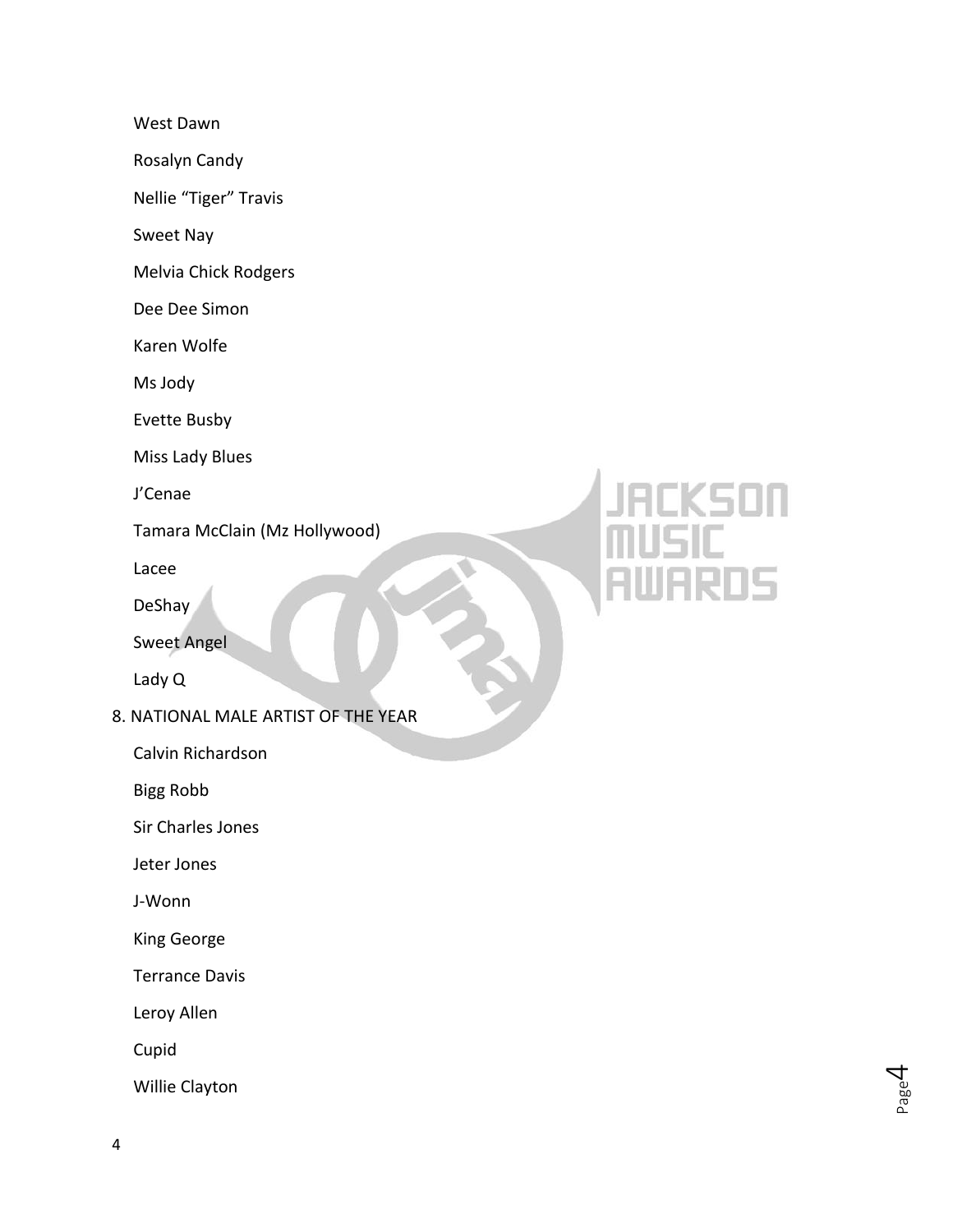West Dawn

Rosalyn Candy

Nellie "Tiger" Travis

Sweet Nay

Melvia Chick Rodgers

Dee Dee Simon

Karen Wolfe

Ms Jody

Evette Busby

Miss Lady Blues

J'Cenae

Tamara McClain (Mz Hollywood)

Lacee

DeShay

Sweet Angel

Lady Q

8. NATIONAL MALE ARTIST OF THE YEAR

Calvin Richardson

Bigg Robb

Sir Charles Jones

Jeter Jones

J - Wonn

King George

Terrance Davis

Leroy Allen

Cupid

Willie Clayton

# (SON 15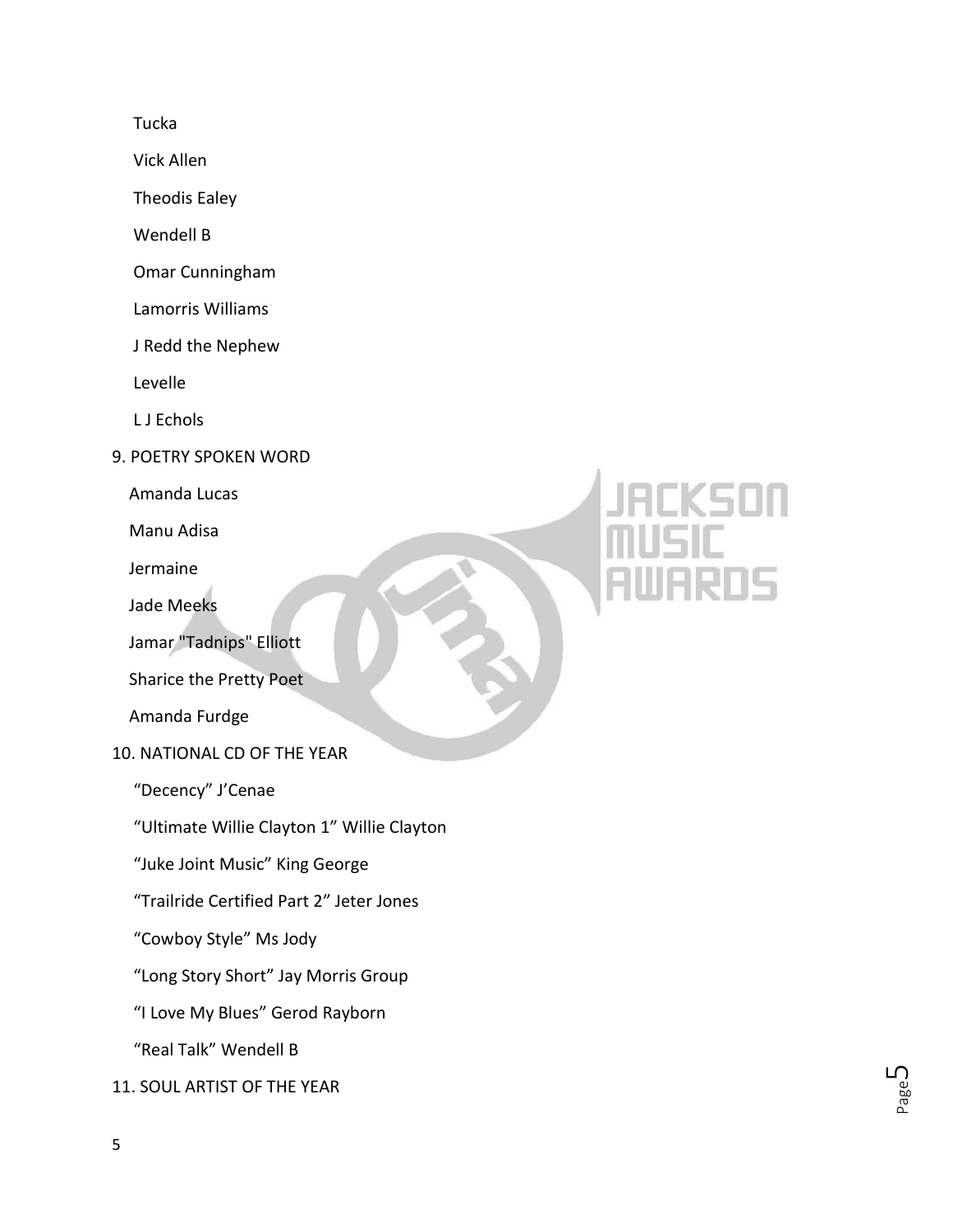Tucka

Vick Allen

Theodis Ealey

Wendell B

Omar Cunningham

Lamorris Williams

J Redd the Nephew

Levelle

L J Echols

9. POETRY SPOKEN WORD

Amanda Lucas

Manu Adisa

Jermaine

Jade Meeks

Jamar "Tadnips" Elliott

Sharice the Pretty Poet

Amanda Furdge

10. NATIONAL CD OF THE YEAR

"Decency" J'Cenae

"Ultimate Willie Clayton 1" Willie Clayton

"Juke Joint Music" King George

"Trailride Certified Part 2" Jeter Jones

"Cowboy Style" Ms Jody

"Long Story Short" Jay Morris Group

"I Love My Blues" Gerod Rayborn

"Real Talk" Wendell B

11. SOUL ARTIST OF THE YEAR

Page ഥ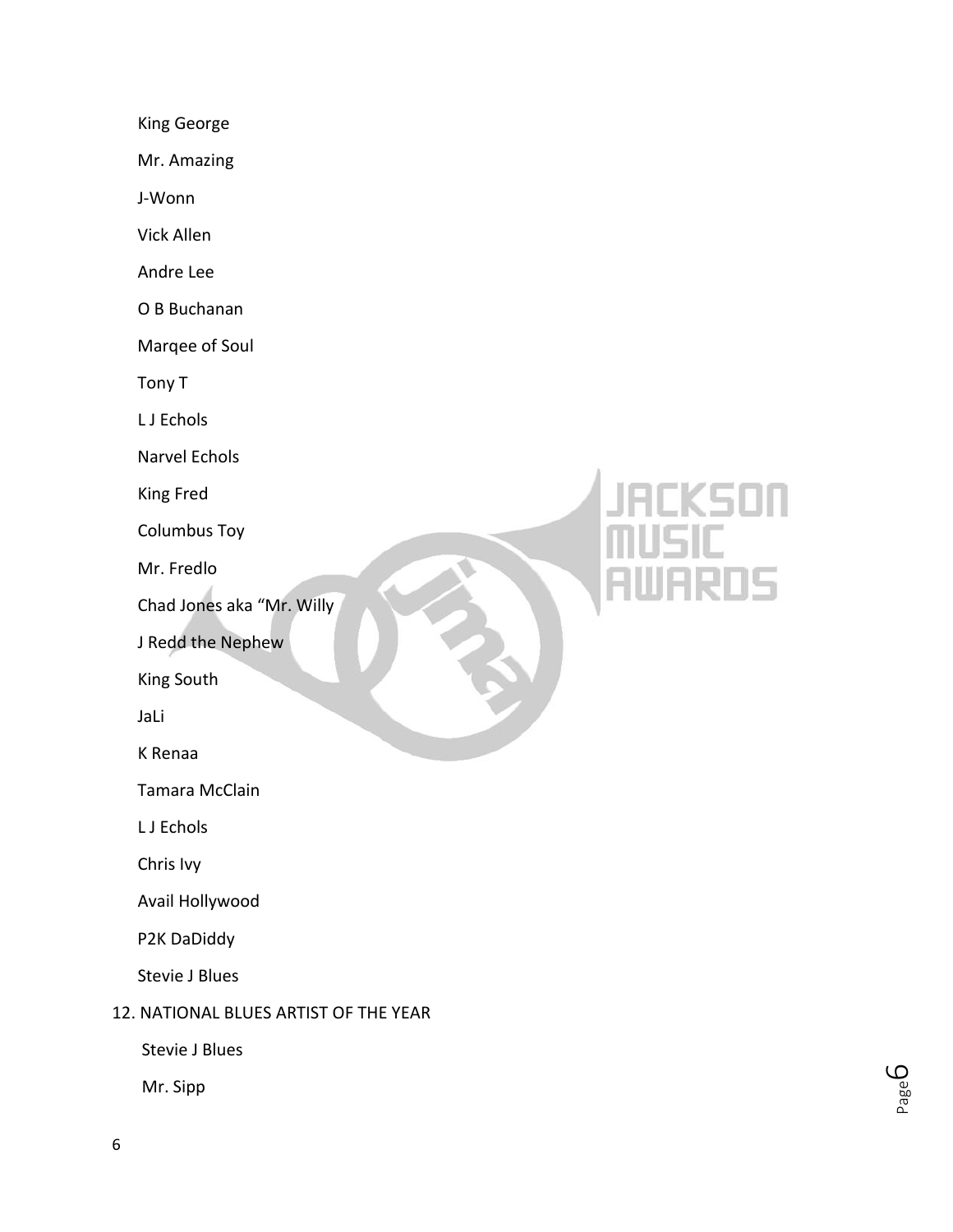King George

Mr. Amazing

J-Wonn

Vick Allen

Andre Lee

O B Buchanan

Marqee of Soul

Tony T

L J Echols

Narvel Echols

King Fred

Columbus Toy

Mr. Fredlo

Chad Jones aka "Mr. Willy

J Redd the Nephew

King South

JaLi

K Renaa

Tamara McClain

L J Echols

Chris Ivy

Avail Hollywood

P2K DaDiddy

Stevie J Blues

### 12. NATIONAL BLUES ARTIST OF THE YEAR

Stevie J Blues

Mr. Sipp

## KSON .<br>105

Page ص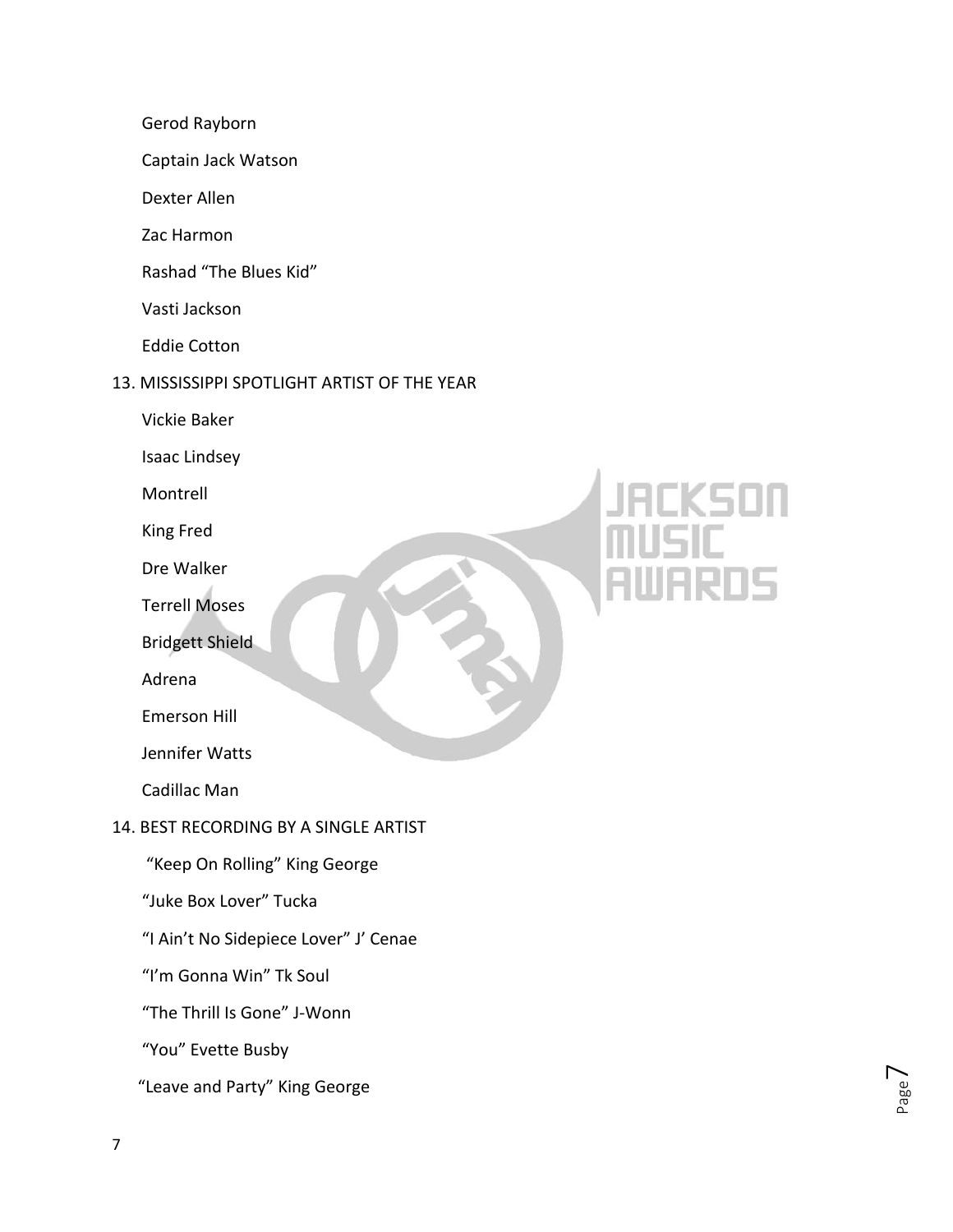- Gerod Rayborn
- Captain Jack Watson
- Dexter Allen
- Zac Harmon
- Rashad "The Blues Kid"
- Vasti Jackson
- Eddie Cotton

### 13. MISSISSIPPI SPOTLIGHT ARTIST OF THE YEAR

- Vickie Baker
- Isaac Lindsey
- Montrell
- King Fred
- Dre Walker
- Terrell Moses
- Bridgett Shield
- Adrena
- Emerson Hill
- Jennifer Watts
- Cadillac Man

### 14. BEST RECORDING BY A SINGLE ARTIST

- "Keep On Rolling" King George
- "Juke Box Lover" Tucka
- "I Ain't No Sidepiece Lover" J' Cenae
- "I'm Gonna Win" Tk Soul
- "The Thrill Is Gone" J-Wonn
- "You" Evette Busby
- "Leave and Party" King George

Page  $\overline{\phantom{1}}$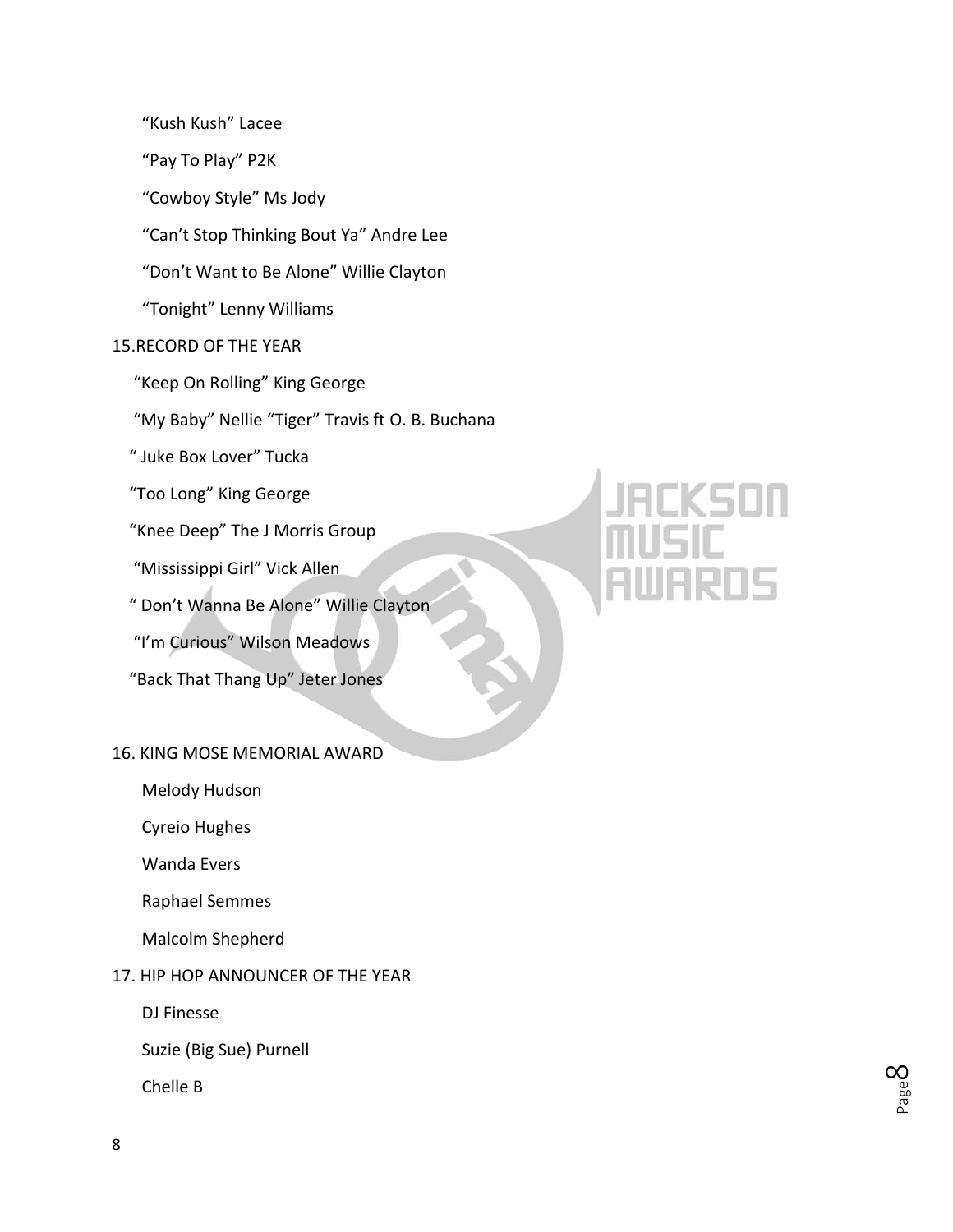"Kush Kush" Lacee

"Pay To Play" P2K

"Cowboy Style" Ms Jody

"Can't Stop Thinking Bout Ya" Andre Lee

"Don't Want to Be Alone" Willie Clayton

"Tonight" Lenny Williams

### 15.RECORD OF THE YEAR

"Keep On Rolling" King George

"My Baby" Nellie "Tiger" Travis ft O. B. Buchana

" Juke Box Lover" Tucka

"Too Long" King George

"Knee Deep" The J Morris Group

"Mississippi Girl" Vick Allen

" Don't Wanna Be Alone" Willie Clayton

"I'm Curious" Wilson Meadows

"Back That Thang Up" Jeter Jones

### 16. KING MOSE MEMORIAL AWARD

Melody Hudson

Cyreio Hughes

Wanda Evers

Raphael Semmes

Malcolm Shepherd

### 17. HIP HOP ANNOUNCER OF THE YEAR

DJ Finesse

Suzie (Big Sue) Purnell

Chelle B

Page  $\infty$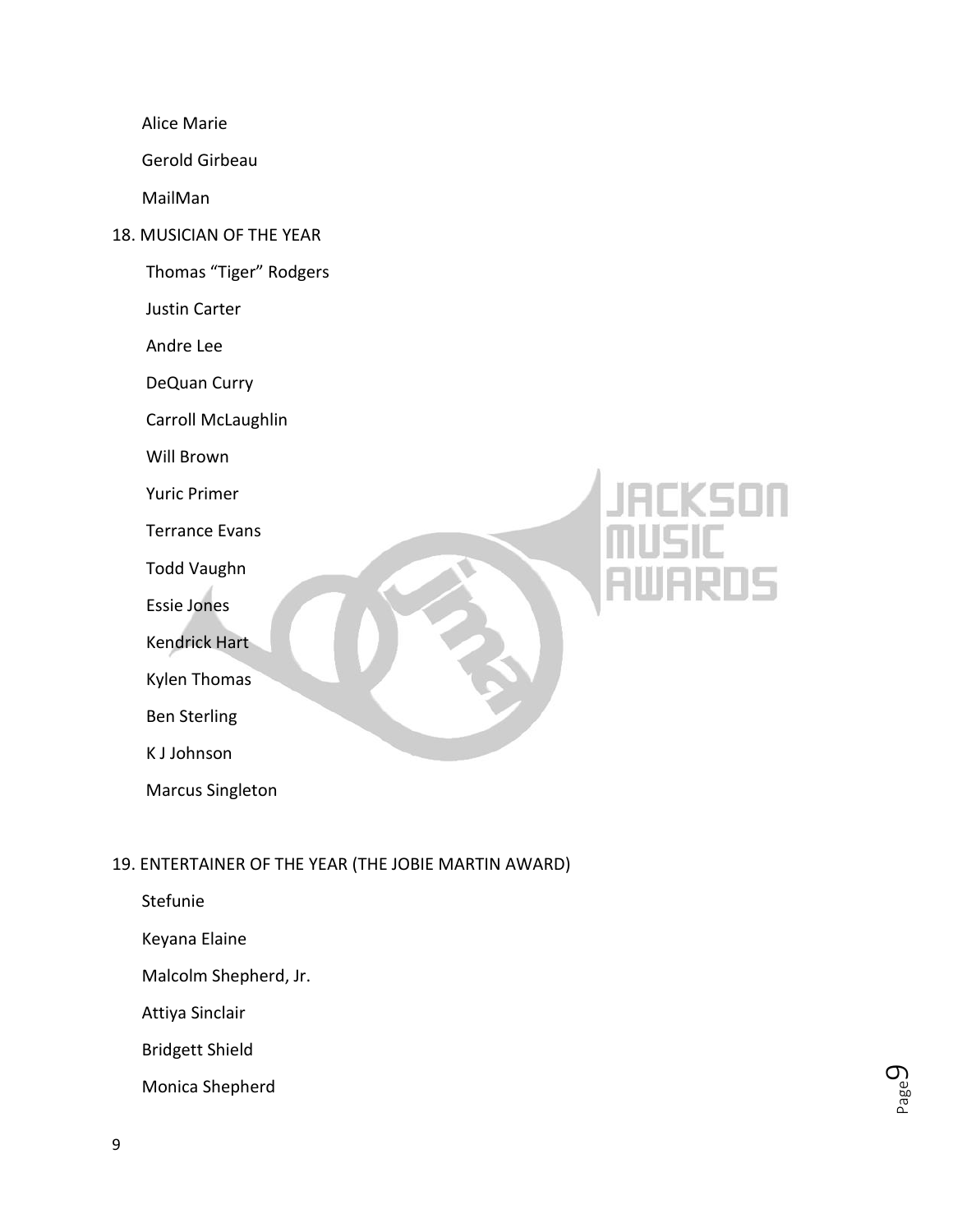Alice Marie

Gerold Girbeau

MailMan

18. MUSICIAN OF THE YEAR

Thomas "Tiger" Rodgers

Justin Carter

Andre Lee

DeQuan Curry

Carroll McLaughlin

Will Brown

Yuric Primer

Terrance Evans

Todd Vaughn

Essie Jones

Kendrick Hart

Kylen Thomas

Ben Sterling

K J Johnson

Marcus Singleton

# 15

### 19. ENTERTAINER OF THE YEAR (THE JOBIE MARTIN AWARD)

Stefunie

Keyana Elaine

Malcolm Shepherd, Jr.

Attiya Sinclair

Bridgett Shield

Monica Shepherd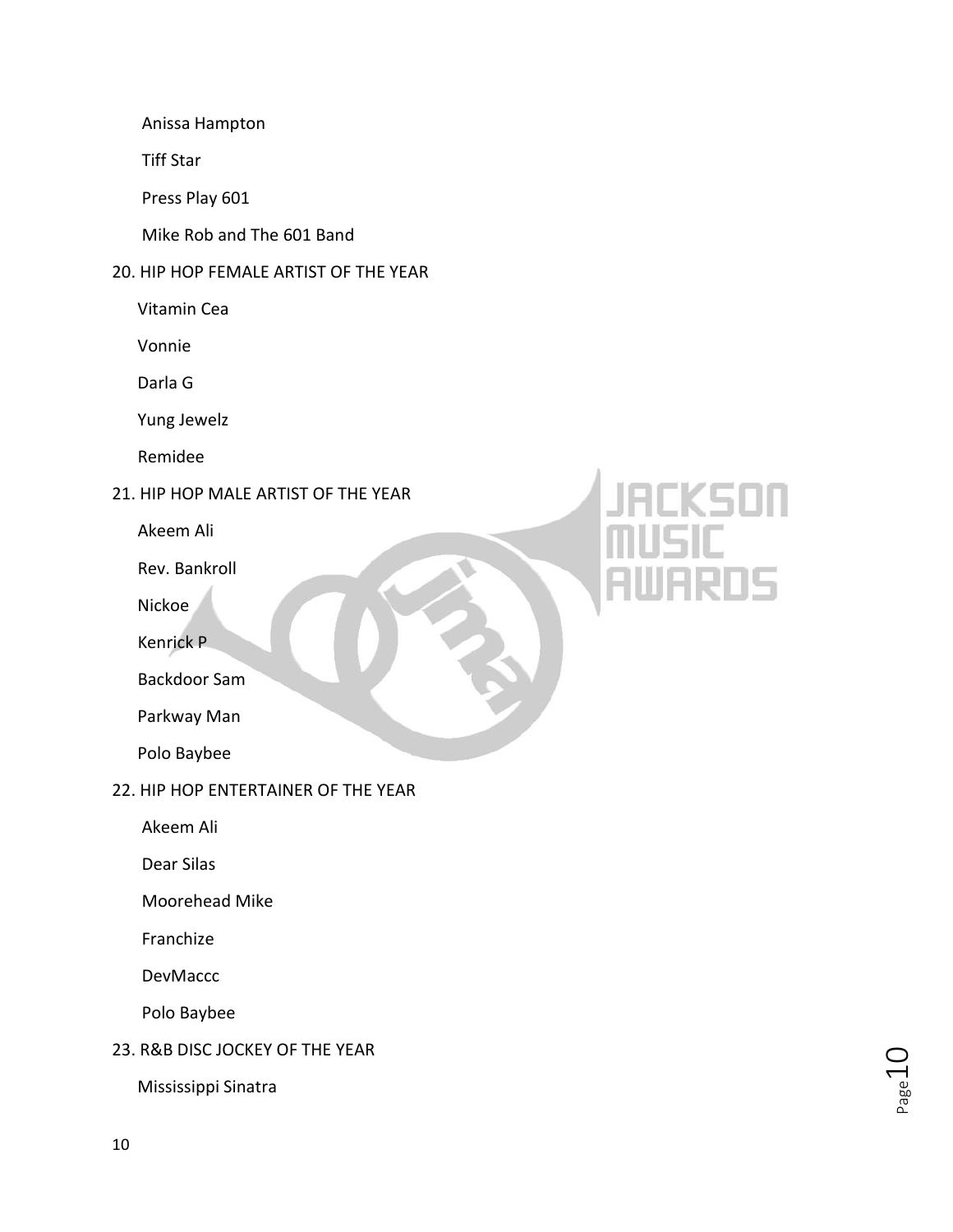Anissa Hampton

Tiff Star

Press Play 601

Mike Rob and The 601 Band

### 20. HIP HOP FEMALE ARTIST OF THE YEAR

Vitamin Cea

Vonnie

Darla G

Yung Jewelz

Remidee

### 21. HIP HOP MALE ARTIST OF THE YEAR

Akeem Ali

Rev. Bankroll

Nickoe

Kenrick P

Backdoor Sam

Parkway Man

Polo Baybee

### 22. HIP HOP ENTERTAINER OF THE YEAR

Akeem Ali

Dear Silas

Moorehead Mike

Franchize

DevMaccc

Polo Baybee

### 23. R&B DISC JOCKEY OF THE YEAR

Mississippi Sinatra

# ١g

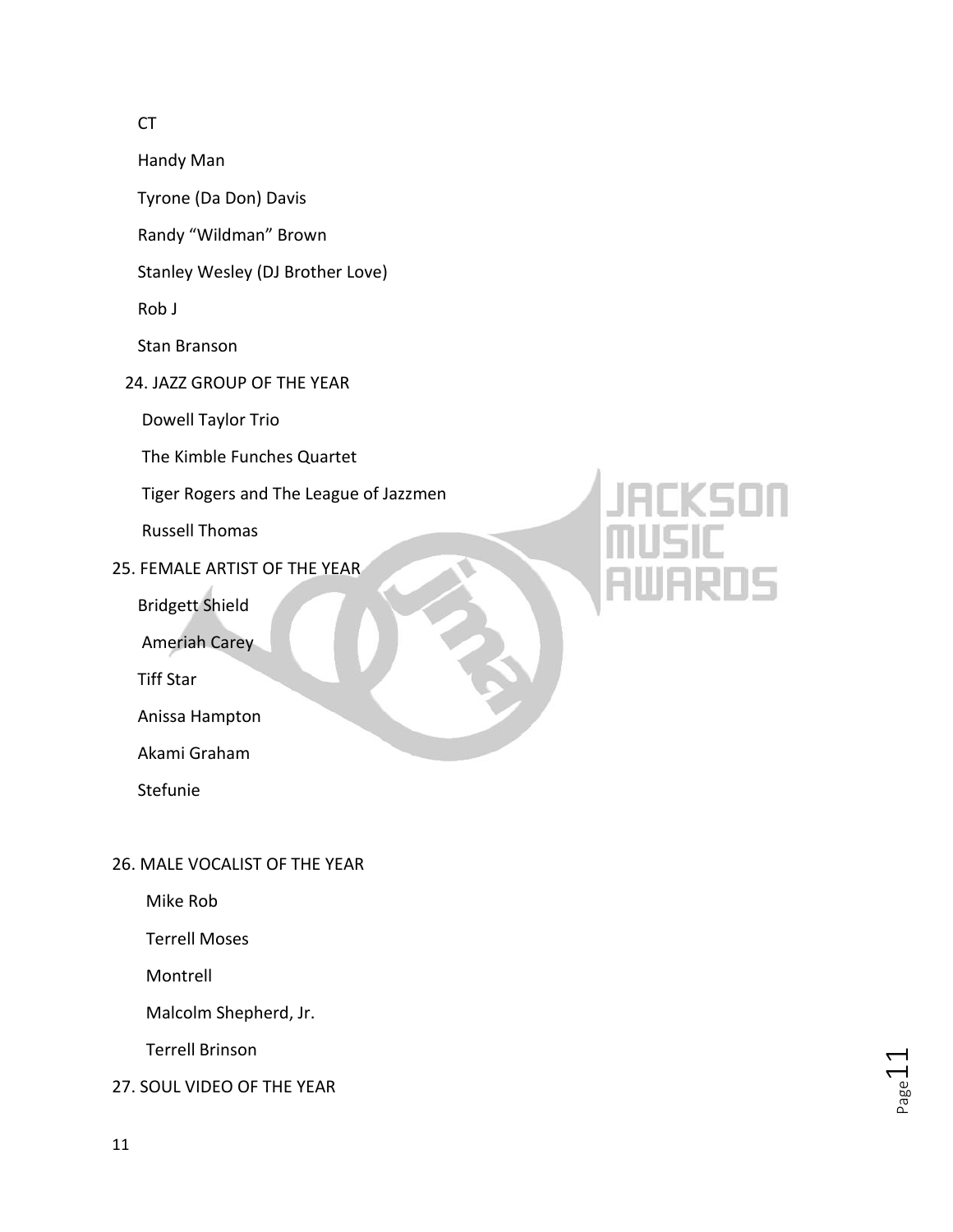### CT

Handy Man

Tyrone (Da Don) Davis

Randy "Wildman" Brown

Stanley Wesley (DJ Brother Love)

Rob J

Stan Branson

24. JAZZ GROUP OF THE YEAR

Dowell Taylor Trio

The Kimble Funches Quartet

Tiger Rogers and The League of Jazzmen

Russell Thomas

25. FEMALE ARTIST OF THE YEAR

Bridgett Shield

Ameriah Carey

Tiff Star

Anissa Hampton

Akami Graham

Stefunie

# 15

## 26. MALE VOCALIST OF THE YEAR

Mike Rob

Terrell Moses

Montrell

Malcolm Shepherd, Jr.

Terrell Brinson

27. SOUL VIDEO OF THE YEAR

 $_{\rm Page}11$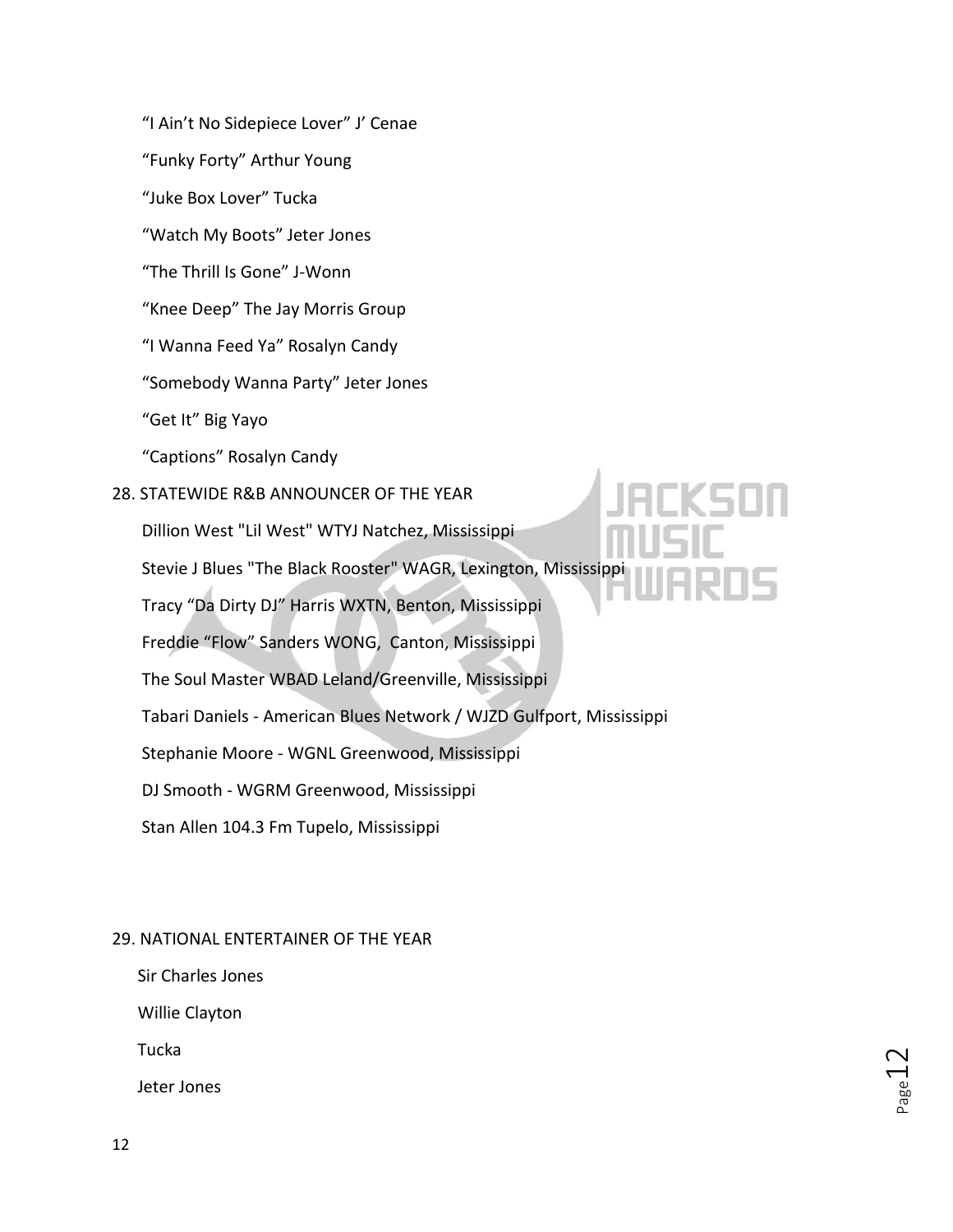"I Ain't No Sidepiece Lover" J' Cenae

"Funky Forty" Arthur Young

"Juke Box Lover" Tucka

"Watch My Boots" Jeter Jones

"The Thrill Is Gone" J-Wonn

"Knee Deep" The Jay Morris Group

"I Wanna Feed Ya" Rosalyn Candy

"Somebody Wanna Party" Jeter Jones

"Get It" Big Yayo

"Captions" Rosalyn Candy

### 28. STATEWIDE R&B ANNOUNCER OF THE YEAR

Dillion West "Lil West" WTYJ Natchez, Mississippi

Stevie J Blues "The Black Rooster" WAGR, Lexington, Mississippi

Tracy "Da Dirty DJ" Harris WXTN, Benton, Mississippi

Freddie "Flow" Sanders WONG, Canton, Mississippi

The Soul Master WBAD Leland/Greenville, Mississippi

Tabari Daniels - American Blues Network / WJZD Gulfport, Mississippi

Stephanie Moore - WGNL Greenwood, Mississippi

DJ Smooth - WGRM Greenwood, Mississippi

Stan Allen 104.3 Fm Tupelo, Mississippi

### 29. NATIONAL ENTERTAINER OF THE YEAR

Sir Charles Jones

Willie Clayton

Tucka

Jeter Jones